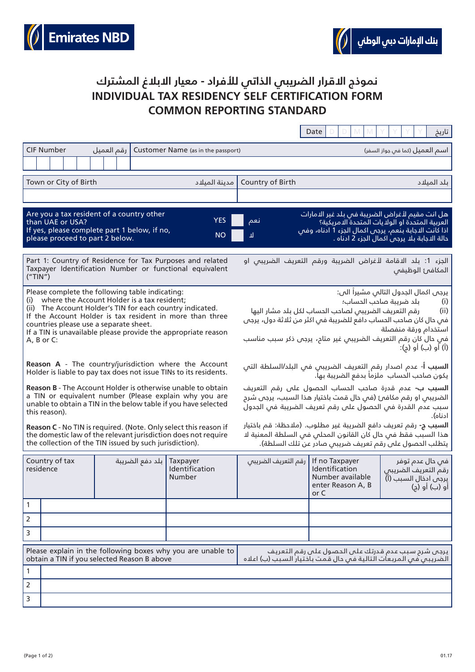



## **INDIVIDUAL TAX RESIDENCY SELF CERTIFICATION FORM COMMON REPORTING STANDARD نموذج االقرار الضريبي الذاتي لألفراد - معيار االبالغ المشترك**

|                                                                                                                                                                                                                                                                                                                                                         |                                                                                                                                                                                                                                                                                                                      |                                                                                                                 | Date                                                                                          | تاريخ                                                                           |
|---------------------------------------------------------------------------------------------------------------------------------------------------------------------------------------------------------------------------------------------------------------------------------------------------------------------------------------------------------|----------------------------------------------------------------------------------------------------------------------------------------------------------------------------------------------------------------------------------------------------------------------------------------------------------------------|-----------------------------------------------------------------------------------------------------------------|-----------------------------------------------------------------------------------------------|---------------------------------------------------------------------------------|
| <b>CIF Number</b><br>رقم العميل                                                                                                                                                                                                                                                                                                                         | Customer Name (as in the passport)                                                                                                                                                                                                                                                                                   |                                                                                                                 |                                                                                               | اسم العميل (كما فى جواز السفر)                                                  |
|                                                                                                                                                                                                                                                                                                                                                         |                                                                                                                                                                                                                                                                                                                      |                                                                                                                 |                                                                                               |                                                                                 |
| Town or City of Birth                                                                                                                                                                                                                                                                                                                                   | مدينة الميلاد                                                                                                                                                                                                                                                                                                        | Country of Birth                                                                                                |                                                                                               | بلد الميلاد                                                                     |
|                                                                                                                                                                                                                                                                                                                                                         |                                                                                                                                                                                                                                                                                                                      |                                                                                                                 |                                                                                               |                                                                                 |
| Are you a tax resident of a country other<br>than UAE or USA?<br>If yes, please complete part 1 below, if no,<br>please proceed to part 2 below.                                                                                                                                                                                                        | نعم<br>ᆈ                                                                                                                                                                                                                                                                                                             | هل انت مقيم لأغراض الضريبة فص بلد غير ال <i>ا</i> مارات<br>اذا كانت الدجابة بنعم، يرجى اكمال الجزء 1 ادناه، وفص | العربية المتحدة او الولايات المتحدة الامريكية؟<br>حالة الاجابة بلا يرجم اكمال الجزء 2 ادناه . |                                                                                 |
| Part 1: Country of Residence for Tax Purposes and related<br>Taxpayer Identification Number or functional equivalent<br>("TIN")                                                                                                                                                                                                                         | الجزء 1: بلد الاقامة لأغراض الضريبة ورقم التعريف الضريبى او<br>المكافئ الوظيفى                                                                                                                                                                                                                                       |                                                                                                                 |                                                                                               |                                                                                 |
| Please complete the following table indicating:<br>where the Account Holder is a tax resident;<br>(i)<br>(ii) The Account Holder's TIN for each country indicated.<br>If the Account Holder is tax resident in more than three<br>countries please use a separate sheet.<br>If a TIN is unavailable please provide the appropriate reason<br>A, B or C: | يرجم اكمال الجدول التالم مشيراً الم:<br>بلد ضريبة صاحب الحساب؛<br>(i)<br>رقم التعريف الضريبى لصاحب الحساب لكل بلد مشار اليها<br>(ii)<br>فمي حال كان صاحب الحساب دافع للضريبة فمي اكثر من ثلاثة دول، يرجم<br>استخدام ورقة منفصلة<br>فم حال كان رقم التعريف الضريبم غير متاح، يرجم ذكر سبب مناسب<br>(أ) أو (ب) أو (ج): |                                                                                                                 |                                                                                               |                                                                                 |
| Reason A - The country/jurisdiction where the Account<br>Holder is liable to pay tax does not issue TINs to its residents.                                                                                                                                                                                                                              | <b>السبب أ-</b> عدم اصدار رقم التعريف الضريبى فى البلد/السلطة التى<br>يكون صاحب الحساب  ملزماً بدفع الضريبة بها.                                                                                                                                                                                                     |                                                                                                                 |                                                                                               |                                                                                 |
| <b>Reason B</b> - The Account Holder is otherwise unable to obtain<br>a TIN or equivalent number (Please explain why you are<br>unable to obtain a TIN in the below table if you have selected<br>this reason).                                                                                                                                         | السبب ب- عدم قدرة صاحب الحساب الحصول على رقم التعريف<br>الضريبس او رقم مكافئ (فس حال قمت باختيار هذا السبب، يرجس شرم<br>سبب عدم القدرة في الحصول على رقم تعريف الضريبة في الجدول<br>ادناه).                                                                                                                          |                                                                                                                 |                                                                                               |                                                                                 |
| <b>Reason C</b> - No TIN is required. (Note. Only select this reason if<br>the domestic law of the relevant jurisdiction does not require<br>the collection of the TIN issued by such jurisdiction).                                                                                                                                                    | <b>السبب ج-</b> رقم تعريف دافع الضريبة غير مطلوب. (ملاحظة: قم باختيار<br>هذا السبب فقط فم حال كان القانون المحلم فم السلطة المعنية لا<br>يتطلب الحصول على رقم تعريف ضريبى صادر عن تلك السلطة).                                                                                                                       |                                                                                                                 |                                                                                               |                                                                                 |
| Country of tax<br>بلد دفع الضريبة<br>residence                                                                                                                                                                                                                                                                                                          | Taxpayer<br>Identification<br>Number                                                                                                                                                                                                                                                                                 | رقم التعريف الضريبى                                                                                             | If no Taxpayer<br>Identification<br>Number available<br>enter Reason A, B<br>or C             | في حال عدم توفر<br>رقم التعريف الضريبى<br>يرجى ادخال السبب (أ)<br>او (ب) او (ج) |
| 1                                                                                                                                                                                                                                                                                                                                                       |                                                                                                                                                                                                                                                                                                                      |                                                                                                                 |                                                                                               |                                                                                 |
| 2                                                                                                                                                                                                                                                                                                                                                       |                                                                                                                                                                                                                                                                                                                      |                                                                                                                 |                                                                                               |                                                                                 |
| 3                                                                                                                                                                                                                                                                                                                                                       |                                                                                                                                                                                                                                                                                                                      |                                                                                                                 |                                                                                               |                                                                                 |
| Please explain in the following boxes why you are unable to<br>يرجص شرح سبب عدم قدرتك على الحصول على رقم التعريف<br>obtain a TIN if you selected Reason B above<br>الضريبي في المربعات التالية في دال قمت باختيار السبب (ب) اعلاه                                                                                                                       |                                                                                                                                                                                                                                                                                                                      |                                                                                                                 |                                                                                               |                                                                                 |
| 1                                                                                                                                                                                                                                                                                                                                                       |                                                                                                                                                                                                                                                                                                                      |                                                                                                                 |                                                                                               |                                                                                 |
| 2                                                                                                                                                                                                                                                                                                                                                       |                                                                                                                                                                                                                                                                                                                      |                                                                                                                 |                                                                                               |                                                                                 |
| 3                                                                                                                                                                                                                                                                                                                                                       |                                                                                                                                                                                                                                                                                                                      |                                                                                                                 |                                                                                               |                                                                                 |